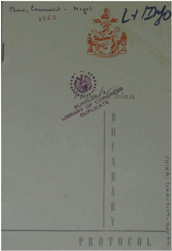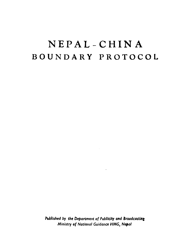# **NEPAL-CHIN A BOUNDARY PROTOCOL**

Published by the Department of Publicity and Broadcasting **Ministry of National Guidance HMG, Nepal** 

 $\zeta$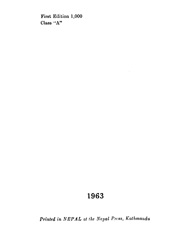**First Edition 1,000 Class "A"** 

## 1963

*Printed in NEPAL at the Nepal Press, Kathmandu*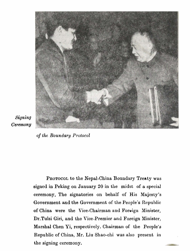

### Signing Ceremony

**of** *lhe Boundary Protocol* 

PROTOCOL to the Nepal-China Boundary Treaty was signed in Peking on January 20 in the midst of a special ceremony. The signatories on behalf of His Majesty's Government and the Government of the People's Republic of China were the Vice-Chairman and Foreign Minister, Dr.Tulsi Giri, and the Vice-Premier and Foreign Minister, Marshal Chen Yi, respectively. Chairman of the People's Republic of China, Mr. Liu Shao-chi was also present in **the signing ceremony**.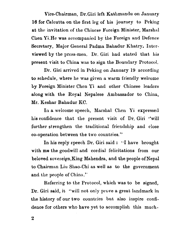Vice-Chairman, Dr.Giri left Kathmandu on January **16** for Calcutta on the first leg of his journey to Peking at the invitation of the Chinese Foreign Minister, Marshal Chen Yi.He was accompanied by the Foreign and Defonce Secretary, Major General Padma Babadur Khatry. **Intcr**viewed by the press-men. Dr. Giri had stated that his present visit to China was to sign the Boundary Protocol.

Dr. Giri arrived in Peking on January 19 according to schedule, where he was given a warm friendly welcome **by** Foreign Minister Chen Yi and other Chinese leaders along with the Royal Nepalese Ambassador to China, Mr. Keshar Bahadur KC.

In a welcome speech, Marshal Chen Yi expressed his confidence that the present visit of Dr. Giri "will further strengthen the traditional friendship and close co-operation between the two countries."

In his reply speech Dr. Giri said : "I have brought with me the goodwill and cordial felicitations from our beloved sovereign, King Mahendra, and the people of Nepal to Chairman Liu Shao-Chi as well as to the government and the people of China.''

Referring to the Protocol, which was to be signed, Dr. Giri said, it "will not only prove a great landmark in the history of our two countries **but** also inspire confidence for others who have yet to accomplish this **much-** 

 $\boldsymbol{2}$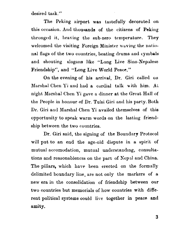desired task."

The Peking airport **was** tastefully decorated on this occasion. And thousands of the citizens of Peking thronged it, braving the sub-zero temperature. They welcomed the visiting Foreign Minister waving the national flags of the two countries, beating drums and cymbals and shouting slogans like "Long Live Sino-Nepalese Friendship", and "Long Live World Peace. "

On the evening of hie arrival, Dr. Giri called on Marshal Chen Yi and had a cordial talk uith him. At night Marshal Chen Yi gave a dinner at the Great Hall of the People in honour of Dr. Tulsi Giri and his party. Both Dr. Giri and Marshal Chen Yi availed themselves of this opportunity to speak warm words on the lasting friendship between the two countries.

Dr. Giri said, the signing of the Boundary Protocol will put to an end the age-old dispute in a spirit of mutual accomodation, mutual understanding, consultations and reasonableness on the part of Nepd **and** China. The pillars, which hare been erected on the formally delimited boundary line, are not only the markers of a new era in the consolidation of friendship between our two countries but memorials of how countries with different political systems could live together in peace and amity.

3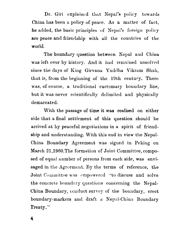Dr. Girl explained that Nepal's policy towards China has been a policy of peace. As a matter of fact, he added, the basic principles of Nepal's foreign policy are peace and friendship with all the countries of the world.

The boundary question between Nepal and China was left over by history. And it had remained unsolved since the days of King Girvana Yuddha Vikram Shah, that is, from the beginning of the 19th century. There was, of course, a traditional customary boundary line, but it was never scientifically delimited and physically demarcated.

With the passage of time it was realised on either side that a final settlement of this question should be arrived at by peaceful negotiations in a spirit of friendship and understanding. With this end in view the Nepal-China Boundary Agreement was signed in Peking on March 21,1960. The formation of Joint Committee, composed of equal number of persons from each side, was envisaged in the Agreement. By the terms of reference, the Joint Committee was empowered "to discuss and solve the concrete boundary questions concerning the Nepal-China Boundary, conduct survey of the boundary, erect boundary-markers and draft a Nepal-China Boundary Treaty,"

4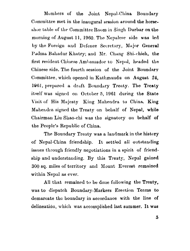Mombers of the Joint Nepal-China Boundary Committee met in the inaugural session around the horseshoe table of the Committee Room in Singh Durbar on the morning of August 11, 1960. The Nepalese side was led by the Foreign and Defence Secretary, Major General Padma Bahadur Khatry; and Mr. Chang Shi-chieh, the first resident Chinese Ambassador to Nepal, headed the Chinese side. The fourth session of the Joint Boundary Committee, which opened in Kathmandu on August 24, 1961, prepared a draft Boundary Treaty. The Treaty itself was signed on October 5, 1961 during the State Visit of His Majesty King Mahendra to China. King Mahendra signed the Treaty on behalf of Nepal, while Chairman Liu Shao-chi was the signatory on behalf of the People's Republic of China.

The Boundary Treaty was a landmark in the history of Nepal-China friendship. It settled all outstanding issues through friendly negotiations in a spirit of friendship and understanding. By this Treaty, Nepal gained 300 sq. miles of territory and Mount Everest remained within Nepal as ever.

All that remained to be done following the Treaty, was to dispatch Boundary-Markers Erection Teams to demarcate the boundary in accordance with the line of delineation, which was accomplished last summer. It was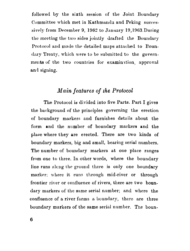followed by the sixth session of the Joint Boundary Committee which met in Kathmandu and Peking successively from December 9, 1962 to January 19,1963.During thc mecting the two sides jointly drafted the Boundary Protocol and made the detailed maps attached to Boundary Treaty, which were to be submitted to the governments of the two countries for examination, approval and signing.

### *Main features* of *the Protocol*

The Protocol is divided into five Parts. Part I gives the background of the principles governing the erection of boundary markers and furnishes details about the form and the number of boundary markers and the place where they are erected. There are two kinds of boundary markers, big and small, bearing serial numbers. The number of boundary markers at one place ranges from one to three. In other words, where the boundary line runs along the ground there is only one boundary marker; where it runs through mid-river or through frontier river or confluence of rivers, there are two boundary markers of the same serial number; and where the confluence of a river forms a boundary, there are three boundary markers of the same seriil number. The boun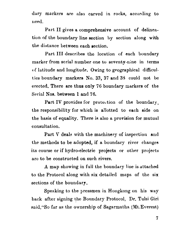dary markers are also carved in rocks, according to need.

Part II gives a comprehensive account of delineation of the boundary line section **by** section along with the distance between each section.

Part III describes the location of each boundary marker from serial number one to seventy-nine in terms of latitude and longitude. Owing to geographical difficulties boundary markera No. 33, 37 and 38 could uot be erected. There are thus only 76 boundary markers of the Serial Nos. between 1 and 76.

Part IV provides for protection of the boundary, the responsibility for which is allotted to each side on the basis of equality. There is also a provision for mutual consultation.

Part V deals with the machinery of inspection and the methods to be adopted, if a boundary river changes its course or if hydro-electric projects or other projects are to be constructed on such rivers.

A map showing in full the boundary line is attached to the Protocol along with six detailed maps of the six sections of the boundary.

Speaking to the pressmen in Hongkong on his **way**  back after signing the Boundary Protocol, Dr. Tulsi Giri said, "So far as the ownership of Sagarmatha (Mt. Everest)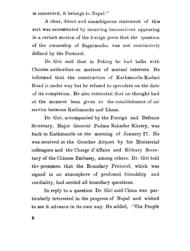is concerned, it belongs to **Nopal."** 

A clear, direct and unambiguous statement of this sort was necessitated by recurring insinuations uppearing in a certain section of the foreign press that the question of the ownership of Sagarmatha was not conclusively defined by the Protocol.

Dr. Giri said that in Peking he had talks with Chinese authorities on matters of mutual interests. He informed that the construction of Kathmandu-Kodari Road is under way but he refused to speculate on the date of its completion. He also reiterated that no thought had at the moment been given to the establishment of air service between Kathmandu and Lhasa.

Dr. Giri, accompanied by the Foreign and Defence Secretary, Major General Pndma Bahadur Khatry, was back in Kathmandu on the morning of January **27.** He was received at the Gauchar Airport by his Ministerial colleagues and the Charge d'Affairs and Military Secretary of the Chinese Embassy, among others. Dr. Giri told the pressmen that the Boundary Protocol, which was signed in an atmosphere of profound friendship and cordiality, had settled all boundary questions.

In reply to a question Dr. Giri said China was particularly interested in the progress of Nepal and wished to see it advance in its own way. He added, "The People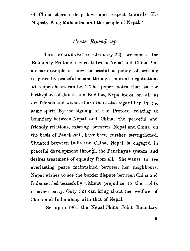of China cherish deep love and respect towards **His**  Majesty King Mahendra and the people of Nepal."

#### *Press Round* **-up**

THE GORAKHAPATRA (January 22) welcomes the Boundary Protocol signed between Nepal and China "as **n** clear example of how successful a policy of settling disputes by peaceful means through mutual negotiations with open heart can be." The paper notes that as the birth-place of Janak and Buddha, Nepal looks on all as her friends and wishes that others also regard her in the same spirit. By the signing of the Protocol relating to boundary between Nepal and China, the peaceful and friendly relations, existing between Nepal and China on the basis of Panchashil, have been further strengthened. Situated between India and China, Nepal is engaged in peaceful development through the Panchayat system and desires treatment of equality from all. She wants to see everlasting peace maintained between her neighbours. Nepal wishes to see the border dispute between China **and**  India settled peacefully without prejudice to the rights of either party. Only this can bring about the welfare of China and India along with that of Nepal.

'-Set up in 1961 the Nepal-China Joint Boundary

 $\boldsymbol{9}$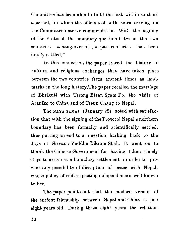Committee has been able to fulfil the task within so short a period, for which the officia's of both sides serving on the Committee deserve commendation. With the signing of the Protocol, the boundary question between the two countries- a hang-over of the past centuries- has been finally settled."

In this connection the paper traced the history of cultural and religious exchanges that have taken place between the two countries from ancient times as landmarks in the long history.The paper recalled the marriage of Bhrikuti with Tsrong Btaan Sgarn Po, the visits of Araniko to China and of Tseun Chang to Nepal.

The NAYA SAMAJ (January 22) noted with satisfaction that with the signing of the Protocol Nepal's northern boundary has been formally and scientifically settled, thus putting an end to a question harking back to the days of Girvana Yuddha Bikram Shah. It went on to thank the Chinese Government for having taken timely steps to arrive at a boundary settlement in order to prevent any possibility of disruption of peace with Nepal, whose policy of self-respecting independence is well-known to **hor.** 

The paper points out that the modern version of the ancient friendship between Nepal and China is jusb eight years old. During these eight years the relations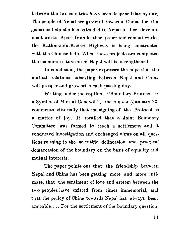between the two countries have been deepened day by day. The people of Nepal are grateful towards China for the generoue help she has extended to Nepal in her development works. Apart from leather, paper and cement works, the Kathmandu-Kodari Highway is being constructed with the Chinese help. When these projects are completed the economic situation of Nepal will be etrengthened.

In conclusion, the paper expresses the hope that the mutual relations subsisting between Nepal and China will prosper and grow with each passing day.

Writing under the caption, "Boundary Protocol is a Symbol of Mutual Goodwill", the **NEPAL1** (January **23)**  comments editorially tliat the signing of the Protocol is a matter of joy. It recalled that a Joint Boundary Committee was formed to reach a settlement and it conducted investigation and exchanged views on all questions relating to the scientific delineation and practical demarcation of the boundary on the basis of equality and mutual interests.

The paper points out that the friendship between Nepal and China has been getting more and more intimate, that the sentiment of love and esteem between the two peoples have existed from times immemorial, **and**  that the policy of China towards **Xepal** has always been amicable. ... For the settlement of the boundary question,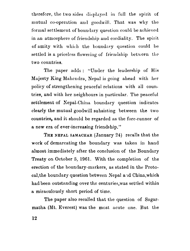therefore, the two sides displayed in full the spirit of mutual co-operation and goodwill. That was why the formal settlement of boundary question could be achieved in an atmosphere of friendship and cordiality. The spirit of amity with which the boundary question could be settled is a priceless flowering of friendship between the two conntries.

The paper adds : "Under the leadership of His Majesty King Mahendra, Nepal is going ahead with her policy of strengthening peaceful relations with all countries, and with her neighbours in particular. The peaceful settlement of Nepal-China boundary question indicates clearly the mutual goodwill subsisting between the two countries, and it should be regarded as the fore-runner of a new **era** of ever-increasing friendship."

THE NEPAL SAMACHAR (January 24) recalls that the work of demarcating the boundary was taken in hand almost immediately after the conclusion of the Boundary Treaty on October 5, 1961. With the completion of the erection of the boundary-markers, as stated in the Protocal, the boundary question between Nepal and China, which had been outstanding over the centuries,was settled within a miraculously short period of time.

The paper also recalled that the question of Sagarmatha (Mt. Everest) was the most acute one. But the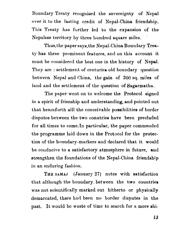Iloundnry Treaty recognised the sovereignty of Ncpal over it to the lasting credit of Nepal-China friendship. This Treaty has further led to the expansion of the Nepalese territory by three hundred square miles.

Thus, the paper says, the Nepal-China Boundary Treaty has three prominent features, and on this account it must be considered the best one in the history of Nepal. They are : settlement of centuries old boundary question between Nepal and China, the gain of 300 sq. miles of land and the settlement of the question of Sagarmatha.

The paper went on to welcome the Protocol signed in a spirit of frienship and understanding, and pointed out that henceforth alll the conceivable possibilities of border disputes between the two conutries have been precluded for all times to come. In particular, the paper commended the programme laid down in the Protocol for tho protection of the boundary-markers and declared that it would be conducive to a satisfactory atmosphere in future, and strengthen the foundations of the Nepal-China friendship in an enduring fashion.

**THE SAMAJ** (January **27)** notes with satisfaction that although the boundary, between the two countries was not scientifically marked out hitherto or physically demarcated, there had been no border disputes in the past. It would be waste of timc to search for a more shi